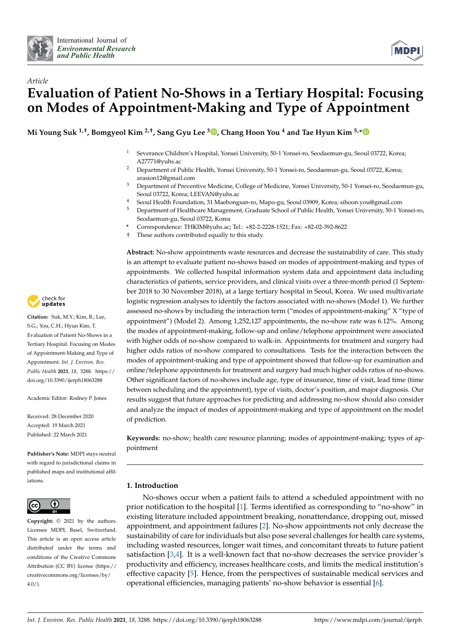



# *Article* **Evaluation of Patient No-Shows in a Tertiary Hospital: Focusing on Modes of Appointment-Making and Type of Appointment**

**Mi Young Suk 1,†, Bomgyeol Kim 2,†, Sang Gyu Lee <sup>3</sup> [,](https://orcid.org/0000-0003-4847-2421) Chang Hoon You <sup>4</sup> and Tae Hyun Kim 5,[\\*](https://orcid.org/0000-0003-1053-8958)**

- <sup>1</sup> Severance Children's Hospital, Yonsei University, 50-1 Yonsei-ro, Seodaemun-gu, Seoul 03722, Korea; A27771@yuhs.ac
- <sup>2</sup> Department of Public Health, Yonsei University, 50-1 Yonsei-ro, Seodaemun-gu, Seoul 03722, Korea; arasion12@gmail.com
- <sup>3</sup> Department of Preventive Medicine, College of Medicine, Yonsei University, 50-1 Yonsei-ro, Seodaemun-gu, Seoul 03722, Korea; LEEVAN@yuhs.ac
- <sup>4</sup> Seoul Health Foundation, 31 Maebongsan-ro, Mapo-gu, Seoul 03909, Korea; sihoon.you@gmail.com
- <sup>5</sup> Department of Healthcare Management, Graduate School of Public Health, Yonsei University, 50-1 Yonsei-ro, Seodaemun-gu, Seoul 03722, Korea
- **\*** Correspondence: THKIM@yuhs.ac; Tel.: +82-2-2228-1521; Fax: +82-02-392-8622
- † These authors contributed equally to this study.

**Abstract:** No-show appointments waste resources and decrease the sustainability of care. This study is an attempt to evaluate patient no-shows based on modes of appointment-making and types of appointments. We collected hospital information system data and appointment data including characteristics of patients, service providers, and clinical visits over a three-month period (1 September 2018 to 30 November 2018), at a large tertiary hospital in Seoul, Korea. We used multivariate logistic regression analyses to identify the factors associated with no-shows (Model 1). We further assessed no-shows by including the interaction term ("modes of appointment-making" X "type of appointment") (Model 2). Among 1,252,127 appointments, the no-show rate was 6.12%. Among the modes of appointment-making, follow-up and online/telephone appointment were associated with higher odds of no-show compared to walk-in. Appointments for treatment and surgery had higher odds ratios of no-show compared to consultations. Tests for the interaction between the modes of appointment-making and type of appointment showed that follow-up for examination and online/telephone appointments for treatment and surgery had much higher odds ratios of no-shows. Other significant factors of no-shows include age, type of insurance, time of visit, lead time (time between scheduling and the appointment), type of visits, doctor's position, and major diagnosis. Our results suggest that future approaches for predicting and addressing no-show should also consider and analyze the impact of modes of appointment-making and type of appointment on the model of prediction.

**Keywords:** no-show; health care resource planning; modes of appointment-making; types of appointment

# **1. Introduction**

No-shows occur when a patient fails to attend a scheduled appointment with no prior notification to the hospital [\[1\]](#page-12-0). Terms identified as corresponding to "no-show" in existing literature included appointment breaking, nonattendance, dropping out, missed appointment, and appointment failures [\[2\]](#page-12-1). No-show appointments not only decrease the sustainability of care for individuals but also pose several challenges for health care systems, including wasted resources, longer wait times, and concomitant threats to future patient satisfaction [\[3](#page-12-2)[,4\]](#page-12-3). It is a well-known fact that no-show decreases the service provider's productivity and efficiency, increases healthcare costs, and limits the medical institution's effective capacity [\[5\]](#page-12-4). Hence, from the perspectives of sustainable medical services and operational efficiencies, managing patients' no-show behavior is essential [\[6\]](#page-12-5).



**Citation:** Suk, M.Y.; Kim, B.; Lee, S.G.; You, C.H.; Hyun Kim, T. Evaluation of Patient No-Shows in a Tertiary Hospital: Focusing on Modes of Appointment-Making and Type of Appointment. *Int. J. Environ. Res. Public Health* **2021**, *18*, 3288. [https://](https://doi.org/10.3390/ijerph18063288) [doi.org/10.3390/ijerph18063288](https://doi.org/10.3390/ijerph18063288)

Academic Editor: Rodney P. Jones

Received: 28 December 2020 Accepted: 19 March 2021 Published: 22 March 2021

**Publisher's Note:** MDPI stays neutral with regard to jurisdictional claims in published maps and institutional affiliations.



**Copyright:** © 2021 by the authors. Licensee MDPI, Basel, Switzerland. This article is an open access article distributed under the terms and conditions of the Creative Commons Attribution (CC BY) license (https:/[/](https://creativecommons.org/licenses/by/4.0/) [creativecommons.org/licenses/by/](https://creativecommons.org/licenses/by/4.0/)  $4.0/$ ).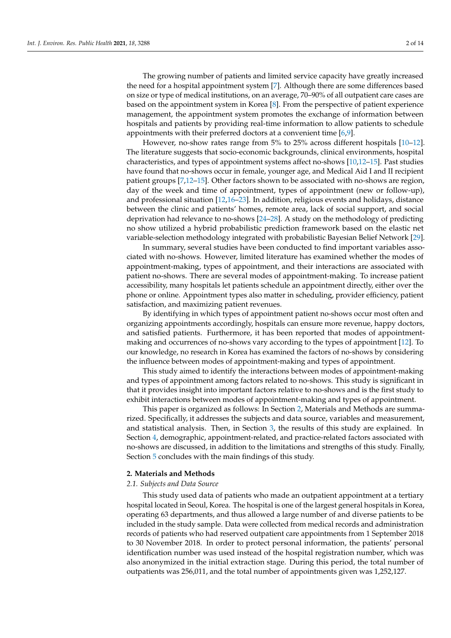The growing number of patients and limited service capacity have greatly increased the need for a hospital appointment system [\[7\]](#page-12-6). Although there are some differences based on size or type of medical institutions, on an average, 70–90% of all outpatient care cases are based on the appointment system in Korea [\[8\]](#page-12-7). From the perspective of patient experience management, the appointment system promotes the exchange of information between hospitals and patients by providing real-time information to allow patients to schedule appointments with their preferred doctors at a convenient time [\[6,](#page-12-5)[9\]](#page-12-8).

However, no-show rates range from 5% to 25% across different hospitals [\[10](#page-12-9)[–12\]](#page-12-10). The literature suggests that socio-economic backgrounds, clinical environments, hospital characteristics, and types of appointment systems affect no-shows [\[10,](#page-12-9)[12](#page-12-10)[–15\]](#page-12-11). Past studies have found that no-shows occur in female, younger age, and Medical Aid I and II recipient patient groups [\[7](#page-12-6)[,12](#page-12-10)[–15\]](#page-12-11). Other factors shown to be associated with no-shows are region, day of the week and time of appointment, types of appointment (new or follow-up), and professional situation [\[12,](#page-12-10)[16](#page-12-12)[–23\]](#page-12-13). In addition, religious events and holidays, distance between the clinic and patients' homes, remote area, lack of social support, and social deprivation had relevance to no-shows [\[24](#page-12-14)[–28\]](#page-12-15). A study on the methodology of predicting no show utilized a hybrid probabilistic prediction framework based on the elastic net variable-selection methodology integrated with probabilistic Bayesian Belief Network [\[29\]](#page-12-16).

In summary, several studies have been conducted to find important variables associated with no-shows. However, limited literature has examined whether the modes of appointment-making, types of appointment, and their interactions are associated with patient no-shows. There are several modes of appointment-making. To increase patient accessibility, many hospitals let patients schedule an appointment directly, either over the phone or online. Appointment types also matter in scheduling, provider efficiency, patient satisfaction, and maximizing patient revenues.

By identifying in which types of appointment patient no-shows occur most often and organizing appointments accordingly, hospitals can ensure more revenue, happy doctors, and satisfied patients. Furthermore, it has been reported that modes of appointmentmaking and occurrences of no-shows vary according to the types of appointment [\[12\]](#page-12-10). To our knowledge, no research in Korea has examined the factors of no-shows by considering the influence between modes of appointment-making and types of appointment.

This study aimed to identify the interactions between modes of appointment-making and types of appointment among factors related to no-shows. This study is significant in that it provides insight into important factors relative to no-shows and is the first study to exhibit interactions between modes of appointment-making and types of appointment.

This paper is organized as follows: In Section [2,](#page-1-0) Materials and Methods are summarized. Specifically, it addresses the subjects and data source, variables and measurement, and statistical analysis. Then, in Section [3,](#page-3-0) the results of this study are explained. In Section [4,](#page-8-0) demographic, appointment-related, and practice-related factors associated with no-shows are discussed, in addition to the limitations and strengths of this study. Finally, Section [5](#page-11-0) concludes with the main findings of this study.

#### <span id="page-1-0"></span>**2. Materials and Methods**

## *2.1. Subjects and Data Source*

This study used data of patients who made an outpatient appointment at a tertiary hospital located in Seoul, Korea. The hospital is one of the largest general hospitals in Korea, operating 63 departments, and thus allowed a large number of and diverse patients to be included in the study sample. Data were collected from medical records and administration records of patients who had reserved outpatient care appointments from 1 September 2018 to 30 November 2018. In order to protect personal information, the patients' personal identification number was used instead of the hospital registration number, which was also anonymized in the initial extraction stage. During this period, the total number of outpatients was 256,011, and the total number of appointments given was 1,252,127.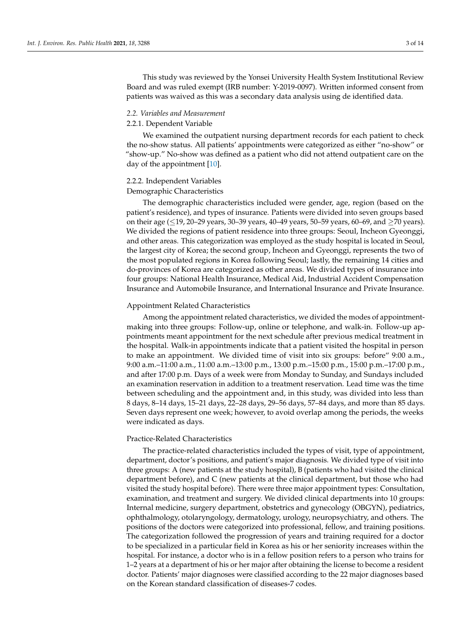This study was reviewed by the Yonsei University Health System Institutional Review Board and was ruled exempt (IRB number: Y-2019-0097). Written informed consent from patients was waived as this was a secondary data analysis using de identified data.

#### *2.2. Variables and Measurement*

## 2.2.1. Dependent Variable

We examined the outpatient nursing department records for each patient to check the no-show status. All patients' appointments were categorized as either "no-show" or "show-up." No-show was defined as a patient who did not attend outpatient care on the day of the appointment [\[10\]](#page-12-9).

## 2.2.2. Independent Variables

#### Demographic Characteristics

The demographic characteristics included were gender, age, region (based on the patient's residence), and types of insurance. Patients were divided into seven groups based on their age (≤19, 20–29 years, 30–39 years, 40–49 years, 50–59 years, 60–69, and ≥70 years). We divided the regions of patient residence into three groups: Seoul, Incheon Gyeonggi, and other areas. This categorization was employed as the study hospital is located in Seoul, the largest city of Korea; the second group, Incheon and Gyeonggi, represents the two of the most populated regions in Korea following Seoul; lastly, the remaining 14 cities and do-provinces of Korea are categorized as other areas. We divided types of insurance into four groups: National Health Insurance, Medical Aid, Industrial Accident Compensation Insurance and Automobile Insurance, and International Insurance and Private Insurance.

#### Appointment Related Characteristics

Among the appointment related characteristics, we divided the modes of appointmentmaking into three groups: Follow-up, online or telephone, and walk-in. Follow-up appointments meant appointment for the next schedule after previous medical treatment in the hospital. Walk-in appointments indicate that a patient visited the hospital in person to make an appointment. We divided time of visit into six groups: before" 9:00 a.m., 9:00 a.m.–11:00 a.m., 11:00 a.m.–13:00 p.m., 13:00 p.m.–15:00 p.m., 15:00 p.m.–17:00 p.m., and after 17:00 p.m. Days of a week were from Monday to Sunday, and Sundays included an examination reservation in addition to a treatment reservation. Lead time was the time between scheduling and the appointment and, in this study, was divided into less than 8 days, 8–14 days, 15–21 days, 22–28 days, 29–56 days, 57–84 days, and more than 85 days. Seven days represent one week; however, to avoid overlap among the periods, the weeks were indicated as days.

#### Practice-Related Characteristics

The practice-related characteristics included the types of visit, type of appointment, department, doctor's positions, and patient's major diagnosis. We divided type of visit into three groups: A (new patients at the study hospital), B (patients who had visited the clinical department before), and C (new patients at the clinical department, but those who had visited the study hospital before). There were three major appointment types: Consultation, examination, and treatment and surgery. We divided clinical departments into 10 groups: Internal medicine, surgery department, obstetrics and gynecology (OBGYN), pediatrics, ophthalmology, otolaryngology, dermatology, urology, neuropsychiatry, and others. The positions of the doctors were categorized into professional, fellow, and training positions. The categorization followed the progression of years and training required for a doctor to be specialized in a particular field in Korea as his or her seniority increases within the hospital. For instance, a doctor who is in a fellow position refers to a person who trains for 1–2 years at a department of his or her major after obtaining the license to become a resident doctor. Patients' major diagnoses were classified according to the 22 major diagnoses based on the Korean standard classification of diseases-7 codes.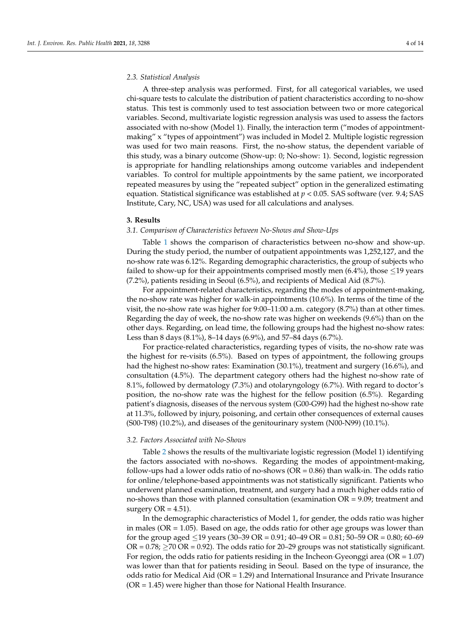## *2.3. Statistical Analysis*

A three-step analysis was performed. First, for all categorical variables, we used chi-square tests to calculate the distribution of patient characteristics according to no-show status. This test is commonly used to test association between two or more categorical variables. Second, multivariate logistic regression analysis was used to assess the factors associated with no-show (Model 1). Finally, the interaction term ("modes of appointmentmaking" x "types of appointment") was included in Model 2. Multiple logistic regression was used for two main reasons. First, the no-show status, the dependent variable of this study, was a binary outcome (Show-up: 0; No-show: 1). Second, logistic regression is appropriate for handling relationships among outcome variables and independent variables. To control for multiple appointments by the same patient, we incorporated repeated measures by using the "repeated subject" option in the generalized estimating equation. Statistical significance was established at *p* < 0.05. SAS software (ver. 9.4; SAS Institute, Cary, NC, USA) was used for all calculations and analyses.

#### <span id="page-3-0"></span>**3. Results**

## *3.1. Comparison of Characteristics between No-Shows and Show-Ups*

Table [1](#page-5-0) shows the comparison of characteristics between no-show and show-up. During the study period, the number of outpatient appointments was 1,252,127, and the no-show rate was 6.12%. Regarding demographic characteristics, the group of subjects who failed to show-up for their appointments comprised mostly men  $(6.4\%)$ , those  $\leq$ 19 years (7.2%), patients residing in Seoul (6.5%), and recipients of Medical Aid (8.7%).

For appointment-related characteristics, regarding the modes of appointment-making, the no-show rate was higher for walk-in appointments (10.6%). In terms of the time of the visit, the no-show rate was higher for 9:00–11:00 a.m. category (8.7%) than at other times. Regarding the day of week, the no-show rate was higher on weekends (9.6%) than on the other days. Regarding, on lead time, the following groups had the highest no-show rates: Less than 8 days (8.1%), 8–14 days (6.9%), and 57–84 days (6.7%).

For practice-related characteristics, regarding types of visits, the no-show rate was the highest for re-visits (6.5%). Based on types of appointment, the following groups had the highest no-show rates: Examination (30.1%), treatment and surgery (16.6%), and consultation (4.5%). The department category others had the highest no-show rate of 8.1%, followed by dermatology (7.3%) and otolaryngology (6.7%). With regard to doctor's position, the no-show rate was the highest for the fellow position (6.5%). Regarding patient's diagnosis, diseases of the nervous system (G00-G99) had the highest no-show rate at 11.3%, followed by injury, poisoning, and certain other consequences of external causes (S00-T98) (10.2%), and diseases of the genitourinary system (N00-N99) (10.1%).

#### *3.2. Factors Associated with No-Shows*

Table [2](#page-7-0) shows the results of the multivariate logistic regression (Model 1) identifying the factors associated with no-shows. Regarding the modes of appointment-making, follow-ups had a lower odds ratio of no-shows ( $OR = 0.86$ ) than walk-in. The odds ratio for online/telephone-based appointments was not statistically significant. Patients who underwent planned examination, treatment, and surgery had a much higher odds ratio of no-shows than those with planned consultation (examination  $OR = 9.09$ ; treatment and surgery  $OR = 4.51$ ).

In the demographic characteristics of Model 1, for gender, the odds ratio was higher in males ( $OR = 1.05$ ). Based on age, the odds ratio for other age groups was lower than for the group aged  $\leq$ 19 years (30–39 OR = 0.91; 40–49 OR = 0.81; 50–59 OR = 0.80; 60–69 OR =  $0.78$ ;  $\geq$  70 OR = 0.92). The odds ratio for 20–29 groups was not statistically significant. For region, the odds ratio for patients residing in the Incheon·Gyeonggi area (OR = 1.07) was lower than that for patients residing in Seoul. Based on the type of insurance, the odds ratio for Medical Aid (OR = 1.29) and International Insurance and Private Insurance (OR = 1.45) were higher than those for National Health Insurance.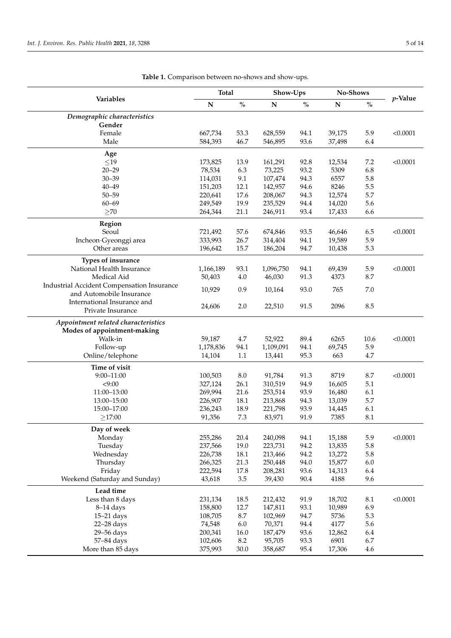| <b>Variables</b>                                  |           | <b>Total</b> |           | Show-Ups |             | No-Shows |            |
|---------------------------------------------------|-----------|--------------|-----------|----------|-------------|----------|------------|
|                                                   | ${\bf N}$ | $\%$         | ${\bf N}$ | $\%$     | $\mathbf N$ | $\%$     | $p$ -Value |
| Demographic characteristics                       |           |              |           |          |             |          |            |
| Gender                                            |           |              |           |          |             |          |            |
| Female                                            | 667,734   | 53.3         | 628,559   | 94.1     | 39,175      | 5.9      | < 0.0001   |
| Male                                              | 584,393   | 46.7         | 546,895   | 93.6     | 37,498      | 6.4      |            |
| Age                                               |           |              |           |          |             |          |            |
| $\leq$ 19                                         | 173,825   | 13.9         | 161,291   | 92.8     | 12,534      | 7.2      | < 0.0001   |
| $20 - 29$                                         | 78,534    | 6.3          | 73,225    | 93.2     | 5309        | 6.8      |            |
| $30 - 39$                                         | 114,031   | 9.1          | 107,474   | 94.3     | 6557        | 5.8      |            |
| $40 - 49$                                         | 151,203   | 12.1         | 142,957   | 94.6     | 8246        | 5.5      |            |
| $50 - 59$                                         | 220,641   | 17.6         | 208,067   | 94.3     | 12,574      | 5.7      |            |
| $60 - 69$                                         | 249,549   | 19.9         | 235,529   | 94.4     | 14,020      | 5.6      |            |
| $\geq$ 70                                         | 264,344   | 21.1         | 246,911   | 93.4     | 17,433      | 6.6      |            |
| Region                                            |           |              |           |          |             |          |            |
| Seoul                                             | 721,492   | 57.6         | 674,846   | 93.5     | 46,646      | 6.5      | < 0.0001   |
| Incheon Gyeonggi area                             | 333,993   | 26.7         | 314,404   | 94.1     | 19,589      | 5.9      |            |
| Other areas                                       | 196,642   | 15.7         | 186,204   | 94.7     | 10,438      | 5.3      |            |
| Types of insurance                                |           |              |           |          |             |          |            |
| National Health Insurance                         | 1,166,189 | 93.1         | 1,096,750 | 94.1     | 69,439      | 5.9      | < 0.0001   |
| Medical Aid                                       | 50,403    | 4.0          | 46,030    | 91.3     | 4373        | 8.7      |            |
| <b>Industrial Accident Compensation Insurance</b> | 10,929    | 0.9          | 10,164    | 93.0     | 765         | 7.0      |            |
| and Automobile Insurance                          |           |              |           |          |             |          |            |
| International Insurance and                       | 24,606    | 2.0          | 22,510    | 91.5     | 2096        | 8.5      |            |
| Private Insurance                                 |           |              |           |          |             |          |            |
| Appointment related characteristics               |           |              |           |          |             |          |            |
| Modes of appointment-making                       |           |              |           |          |             |          |            |
| Walk-in                                           | 59,187    | 4.7          | 52,922    | 89.4     | 6265        | 10.6     | < 0.0001   |
| Follow-up                                         | 1,178,836 | 94.1         | 1,109,091 | 94.1     | 69,745      | 5.9      |            |
| Online/telephone                                  | 14,104    | $1.1\,$      | 13,441    | 95.3     | 663         | 4.7      |            |
| Time of visit                                     |           |              |           |          |             |          |            |
| $9:00 - 11:00$                                    | 100,503   | 8.0          | 91,784    | 91.3     | 8719        | 8.7      | < 0.0001   |
| < 9:00                                            | 327,124   | 26.1         | 310,519   | 94.9     | 16,605      | 5.1      |            |
| 11:00-13:00                                       | 269,994   | 21.6         | 253,514   | 93.9     | 16,480      | 6.1      |            |
| 13:00-15:00                                       | 226,907   | 18.1         | 213,868   | 94.3     | 13,039      | 5.7      |            |
| 15:00-17:00                                       | 236,243   | 18.9         | 221,798   | 93.9     | 14,445      | 6.1      |            |
| $\geq$ 17:00                                      | 91,356    | 7.3          | 83,971    | 91.9     | 7385        | 8.1      |            |
| Day of week                                       |           |              |           |          |             |          |            |
| Monday                                            | 255,286   | 20.4         | 240,098   | 94.1     | 15,188      | 5.9      | < 0.0001   |
| Tuesday                                           | 237,566   | 19.0         | 223,731   | 94.2     | 13,835      | 5.8      |            |
| Wednesday                                         | 226,738   | 18.1         | 213,466   | 94.2     | 13,272      | 5.8      |            |
| Thursday                                          | 266,325   | 21.3         | 250,448   | 94.0     | 15,877      | 6.0      |            |
| Friday                                            | 222,594   | 17.8         | 208,281   | 93.6     | 14,313      | 6.4      |            |
| Weekend (Saturday and Sunday)                     | 43,618    | 3.5          | 39,430    | 90.4     | 4188        | 9.6      |            |
| Lead time                                         |           |              |           |          |             |          |            |
| Less than 8 days                                  | 231,134   | 18.5         | 212,432   | 91.9     | 18,702      | 8.1      | < 0.0001   |
| 8-14 days                                         | 158,800   | 12.7         | 147,811   | 93.1     | 10,989      | 6.9      |            |
| $15-21$ days                                      | 108,705   | 8.7          | 102,969   | 94.7     | 5736        | 5.3      |            |
| $22 - 28$ days                                    | 74,548    | $6.0\,$      | 70,371    | 94.4     | 4177        | 5.6      |            |
| 29-56 days                                        | 200,341   | 16.0         | 187,479   | 93.6     | 12,862      | 6.4      |            |
| 57-84 days                                        | 102,606   | $8.2\,$      | 95,705    | 93.3     | 6901        | 6.7      |            |
| More than 85 days                                 | 375,993   | $30.0\,$     | 358,687   | 95.4     | 17,306      | 4.6      |            |

**Table 1.** Comparison between no-shows and show-ups.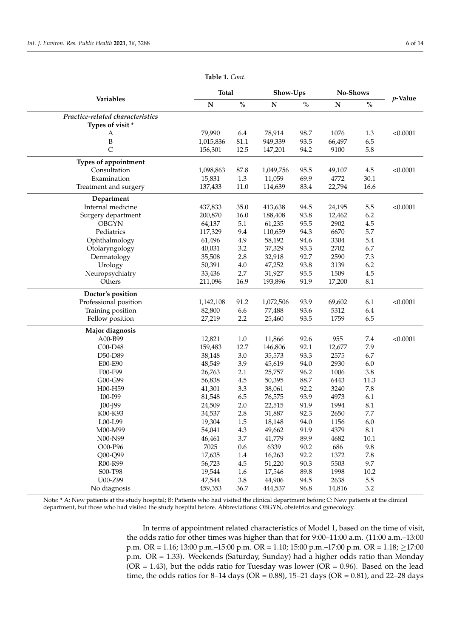<span id="page-5-0"></span>

| Variables                        |             | <b>Total</b>                              |           | Show-Ups |           | No-Shows                           |            |
|----------------------------------|-------------|-------------------------------------------|-----------|----------|-----------|------------------------------------|------------|
|                                  | $\mathbf N$ | $\mathbf{O}_{\!\!/\!\mathbf{O}}^{\prime}$ | ${\bf N}$ | $\%$     | ${\bf N}$ | $\mathbf{O}_{\mathbf{O}}^{\prime}$ | $p$ -Value |
| Practice-related characteristics |             |                                           |           |          |           |                                    |            |
| Types of visit*                  |             |                                           |           |          |           |                                    |            |
| A                                | 79,990      | 6.4                                       | 78,914    | 98.7     | 1076      | 1.3                                | < 0.0001   |
| B                                | 1,015,836   | 81.1                                      | 949,339   | 93.5     | 66,497    | 6.5                                |            |
| C                                | 156,301     | 12.5                                      | 147,201   | 94.2     | 9100      | 5.8                                |            |
| Types of appointment             |             |                                           |           |          |           |                                    |            |
| Consultation                     | 1,098,863   | 87.8                                      | 1,049,756 | 95.5     | 49,107    | 4.5                                | < 0.0001   |
| Examination                      | 15,831      | 1.3                                       | 11,059    | 69.9     | 4772      | 30.1                               |            |
| Treatment and surgery            | 137,433     | 11.0                                      | 114,639   | 83.4     | 22,794    | 16.6                               |            |
| Department                       |             |                                           |           |          |           |                                    |            |
| Internal medicine                | 437,833     | 35.0                                      | 413,638   | 94.5     | 24,195    | 5.5                                | < 0.0001   |
| Surgery department               | 200,870     | 16.0                                      | 188,408   | 93.8     | 12,462    | 6.2                                |            |
| <b>OBGYN</b>                     | 64,137      | 5.1                                       | 61,235    | 95.5     | 2902      | 4.5                                |            |
| Pediatrics                       | 117,329     | 9.4                                       | 110,659   | 94.3     | 6670      | 5.7                                |            |
| Ophthalmology                    | 61,496      | 4.9                                       | 58,192    | 94.6     | 3304      | 5.4                                |            |
| Otolaryngology                   | 40,031      | 3.2                                       | 37,329    | 93.3     | 2702      | 6.7                                |            |
| Dermatology                      | 35,508      | 2.8                                       | 32,918    | 92.7     | 2590      | 7.3                                |            |
| Urology                          | 50,391      | 4.0                                       | 47,252    | 93.8     | 3139      | 6.2                                |            |
| Neuropsychiatry                  | 33,436      | 2.7                                       | 31,927    | 95.5     | 1509      | 4.5                                |            |
| Others                           | 211,096     | 16.9                                      | 193,896   | 91.9     | 17,200    | 8.1                                |            |
| Doctor's position                |             |                                           |           |          |           |                                    |            |
| Professional position            | 1,142,108   | 91.2                                      | 1,072,506 | 93.9     | 69,602    | 6.1                                | < 0.0001   |
| Training position                | 82,800      | 6.6                                       | 77,488    | 93.6     | 5312      | 6.4                                |            |
| Fellow position                  | 27,219      | 2.2                                       | 25,460    | 93.5     | 1759      | 6.5                                |            |
| Major diagnosis                  |             |                                           |           |          |           |                                    |            |
| A00-B99                          | 12,821      | $1.0\,$                                   | 11,866    | 92.6     | 955       | 7.4                                | < 0.0001   |
| C00-D48                          | 159,483     | 12.7                                      | 146,806   | 92.1     | 12,677    | 7.9                                |            |
| D50-D89                          | 38,148      | 3.0                                       | 35,573    | 93.3     | 2575      | 6.7                                |            |
| E00-E90                          | 48,549      | 3.9                                       | 45,619    | 94.0     | 2930      | 6.0                                |            |
| F00-F99                          | 26,763      | 2.1                                       | 25,757    | 96.2     | 1006      | 3.8                                |            |
| G00-G99                          | 56,838      | 4.5                                       | 50,395    | 88.7     | 6443      | 11.3                               |            |
| H00-H59                          | 41,301      | 3.3                                       | 38,061    | 92.2     | 3240      | 7.8                                |            |
| I00-I99                          | 81,548      | 6.5                                       | 76,575    | 93.9     | 4973      | 6.1                                |            |
| J00-J99                          | 24,509      | 2.0                                       | 22,515    | 91.9     | 1994      | 8.1                                |            |
| K00-K93                          | 34,537      | 2.8                                       | 31,887    | 92.3     | 2650      | $7.7\,$                            |            |
| L00-L99                          | 19,304      | 1.5                                       | 18,148    | 94.0     | 1156      | 6.0                                |            |
| M00-M99                          | 54,041      | 4.3                                       | 49,662    | 91.9     | 4379      | $8.1\,$                            |            |
| N00-N99                          | 46,461      | 3.7                                       | 41,779    | 89.9     | 4682      | $10.1\,$                           |            |
| O00-P96                          | 7025        | 0.6                                       | 6339      | 90.2     | 686       | 9.8                                |            |
| Q00-Q99                          | 17,635      | $1.4\,$                                   | 16,263    | 92.2     | 1372      | $7.8\,$                            |            |
| R00-R99                          | 56,723      | $4.5\,$                                   | 51,220    | 90.3     | 5503      | 9.7                                |            |
| S00-T98                          | 19,544      | 1.6                                       | 17,546    | 89.8     | 1998      | 10.2                               |            |
| U00-Z99                          | 47,544      | $3.8\,$                                   | 44,906    | 94.5     | 2638      | $5.5\,$                            |            |
| No diagnosis                     | 459,353     | 36.7                                      | 444,537   | 96.8     | 14,816    | 3.2                                |            |

**Table 1.** *Cont*.

Note: \* A: New patients at the study hospital; B: Patients who had visited the clinical department before; C: New patients at the clinical department, but those who had visited the study hospital before. Abbreviations: OBGYN, obstetrics and gynecology.

> In terms of appointment related characteristics of Model 1, based on the time of visit, the odds ratio for other times was higher than that for 9:00–11:00 a.m. (11:00 a.m.–13:00 p.m. OR = 1.16; 13:00 p.m.–15:00 p.m. OR = 1.10; 15:00 p.m.–17:00 p.m. OR = 1.18; ≥17:00 p.m. OR = 1.33). Weekends (Saturday, Sunday) had a higher odds ratio than Monday  $(OR = 1.43)$ , but the odds ratio for Tuesday was lower  $(OR = 0.96)$ . Based on the lead time, the odds ratios for 8–14 days (OR = 0.88), 15–21 days (OR = 0.81), and 22–28 days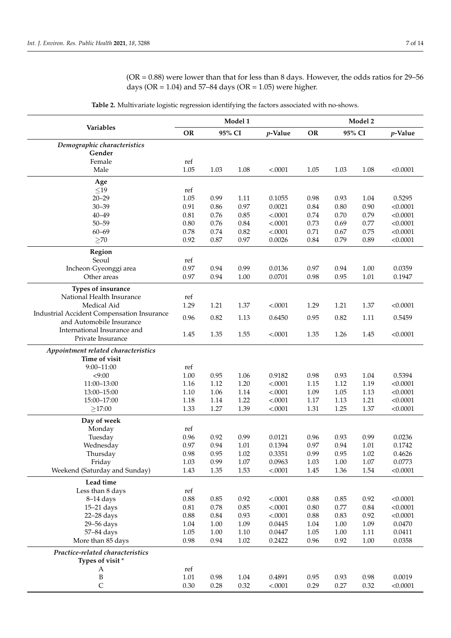$(OR = 0.88)$  were lower than that for less than 8 days. However, the odds ratios for 29–56 days ( $OR = 1.04$ ) and  $57–84$  days ( $OR = 1.05$ ) were higher.

**Variables Model 1 Model 2 OR 95% CI** *p***-Value OR 95% CI** *p***-Value** *Demographic characteristics* **Gender** Female ref Male 1.05 1.03 1.08 <.0001 1.05 1.03 1.08 <0.0001 **Age**  $\leq 19$  ref<br>20–29 1.05 20–29 1.05 0.99 1.11 0.1055 0.98 0.93 1.04 0.5295 30–39 0.91 0.86 0.97 0.0021 0.84 0.80 0.90 <0.0001 40–49 0.81 0.76 0.85 <.0001 0.74 0.70 0.79 <0.0001 50–59 0.80 0.76 0.84 <.0001 0.73 0.69 0.77 <0.0001 60–69 0.78 0.74 0.82 <.0001 0.71 0.67 0.75 <0.0001  $\geq$ 70 0.92 0.92 0.87 0.97 0.0026 0.84 0.79 0.89 <0.0001 **Region** Seoul ref<br>Gveonggi area 60.97 Incheon·Gyeonggi area 0.97 0.94 0.99 0.0136 0.97 0.94 1.00 0.0359 Other areas 0.97 0.94 1.00 0.0701 0.98 0.95 1.01 0.1947 **Types of insurance** National Health Insurance ref Medical Aid 1.29 1.21 1.37 <.0001 1.29 1.21 1.37 <0.0001 Industrial Accident Compensation Insurance and Automobile Insurance **0.96** 0.82 1.13 0.6450 0.95 0.82 1.11 0.5459 and Automobile Insurance International Insurance and Private Insurance 1.45 1.35 1.55 <.0001 1.35 1.26 1.45 <0.0001 *Appointment related characteristics* **Time of visit** 9:00–11:00 ref <9:00 1.00 0.95 1.06 0.9182 0.98 0.93 1.04 0.5394 11:00–13:00 1.16 1.12 1.20 <.0001 1.15 1.12 1.19 <0.0001 13:00–15:00 1.10 1.06 1.14 <.0001 1.09 1.05 1.13 <0.0001 15:00–17:00 1.18 1.14 1.22 <.0001 1.17 1.13 1.21 <0.0001  $\geq$ 17:00 1.33 1.33 1.27 1.39 <.0001 1.31 1.25 1.37 <0.0001 **Day of week** Monday ref Tuesday 0.96 0.92 0.99 0.0121 0.96 0.93 0.99 0.0236 Wednesday 0.97 0.94 1.01 0.1394 0.97 0.94 1.01 0.1742 Thursday 0.98 0.95 1.02 0.3351 0.99 0.95 1.02 0.4626 Friday 1.03 0.99 1.07 0.0963 1.03 1.00 1.07 0.0773 Weekend (Saturday and Sunday) 1.43 1.35 1.53 <.0001 1.45 1.36 1.54 <0.0001 **Lead time** Less than 8 days ref 8–14 days 0.88 0.85 0.92 <.0001 0.88 0.85 0.92 <0.0001 15–21 days 0.81 0.78 0.85 <.0001 0.80 0.77 0.84 <0.0001 22–28 days 0.88 0.84 0.93 <.0001 0.88 0.83 0.92 <0.0001 29–56 days 1.04 1.00 1.09 0.0445 1.04 1.00 1.09 0.0470 57–84 days 1.05 1.00 1.10 0.0447 1.05 1.00 1.11 0.0411 More than 85 days 0.98 0.94 1.02 0.2422 0.96 0.92 1.00 0.0358 *Practice-related characteristics* **Types of visit** \* A ref B 1.01 0.98 1.04 0.4891 0.95 0.93 0.98 0.0019 C 0.30 0.28 0.32 <.0001 0.29 0.27 0.32 <0.0001

**Table 2.** Multivariate logistic regression identifying the factors associated with no-shows.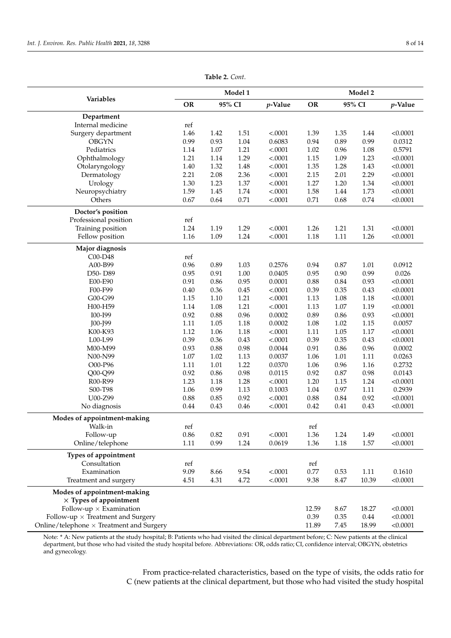<span id="page-7-0"></span>

|                                                 | Model 1             |      |         |           | Model 2     |          |         |          |
|-------------------------------------------------|---------------------|------|---------|-----------|-------------|----------|---------|----------|
| Variables                                       | <b>OR</b><br>95% CI |      | p-Value | <b>OR</b> | 95% CI      |          | p-Value |          |
| Department                                      |                     |      |         |           |             |          |         |          |
| Internal medicine                               | ref                 |      |         |           |             |          |         |          |
| Surgery department                              | 1.46                | 1.42 | 1.51    | < .0001   | 1.39        | 1.35     | 1.44    | < 0.0001 |
| <b>OBGYN</b>                                    | 0.99                | 0.93 | 1.04    | 0.6083    | 0.94        | 0.89     | 0.99    | 0.0312   |
| Pediatrics                                      | 1.14                | 1.07 | 1.21    | < .0001   | 1.02        | 0.96     | 1.08    | 0.5791   |
| Ophthalmology                                   | 1.21                | 1.14 | 1.29    | $-.0001$  | 1.15        | 1.09     | 1.23    | < 0.0001 |
| Otolaryngology                                  | 1.40                | 1.32 | 1.48    | < .0001   | 1.35        | 1.28     | 1.43    | < 0.0001 |
| Dermatology                                     | 2.21                | 2.08 | 2.36    | < .0001   | 2.15        | 2.01     | 2.29    | < 0.0001 |
| Urology                                         | 1.30                | 1.23 | 1.37    | < .0001   | 1.27        | 1.20     | 1.34    | < 0.0001 |
| Neuropsychiatry                                 | 1.59                | 1.45 | 1.74    | < .0001   | 1.58        | 1.44     | 1.73    | < 0.0001 |
| Others                                          | 0.67                | 0.64 | 0.71    | < .0001   | 0.71        | 0.68     | 0.74    | < 0.0001 |
| Doctor's position                               |                     |      |         |           |             |          |         |          |
| Professional position                           | ref                 |      |         |           |             |          |         |          |
| Training position                               | 1.24                | 1.19 | 1.29    | < .0001   | 1.26        | 1.21     | 1.31    | < 0.0001 |
| Fellow position                                 | 1.16                | 1.09 | 1.24    | < .0001   | 1.18        | 1.11     | 1.26    | < 0.0001 |
| Major diagnosis                                 |                     |      |         |           |             |          |         |          |
| C00-D48                                         | ref                 |      |         |           |             |          |         |          |
| A00-B99                                         | 0.96                | 0.89 | 1.03    | 0.2576    | 0.94        | 0.87     | 1.01    | 0.0912   |
| D50-D89                                         | 0.95                | 0.91 | 1.00    | 0.0405    | 0.95        | 0.90     | 0.99    | 0.026    |
| E00-E90                                         | 0.91                | 0.86 | 0.95    | 0.0001    | 0.88        | 0.84     | 0.93    | < 0.0001 |
| F00-F99                                         | 0.40                | 0.36 | 0.45    | < .0001   | 0.39        | 0.35     | 0.43    | < 0.0001 |
| G00-G99                                         | 1.15                | 1.10 | 1.21    | < .0001   | 1.13        | 1.08     | 1.18    | < 0.0001 |
| H00-H59                                         | 1.14                | 1.08 | 1.21    | < .0001   | 1.13        | $1.07\,$ | 1.19    | < 0.0001 |
| I00-I99                                         | 0.92                | 0.88 | 0.96    | 0.0002    | 0.89        | 0.86     | 0.93    | < 0.0001 |
| J00-J99                                         | 1.11                | 1.05 | 1.18    | 0.0002    | 1.08        | 1.02     | 1.15    | 0.0057   |
| K00-K93                                         | 1.12                | 1.06 | 1.18    | < .0001   | 1.11        | 1.05     | 1.17    | < 0.0001 |
| L00-L99                                         | 0.39                | 0.36 | 0.43    | < .0001   | 0.39        | 0.35     | 0.43    | < 0.0001 |
| M00-M99                                         | 0.93                | 0.88 | 0.98    | 0.0044    | 0.91        | 0.86     | 0.96    | 0.0002   |
| N00-N99                                         | $1.07\,$            | 1.02 | 1.13    | 0.0037    | 1.06        | 1.01     | 1.11    | 0.0263   |
| O00-P96                                         | 1.11                | 1.01 | 1.22    | 0.0370    | 1.06        | 0.96     | 1.16    | 0.2732   |
| Q00-Q99                                         | 0.92                | 0.86 | 0.98    | 0.0115    | 0.92        | 0.87     | 0.98    | 0.0143   |
| R00-R99                                         | 1.23                | 1.18 | 1.28    | < .0001   | 1.20        | 1.15     | 1.24    | < 0.0001 |
| S00-T98                                         | 1.06                | 0.99 | 1.13    | 0.1003    | 1.04        | 0.97     | 1.11    | 0.2939   |
| U00-Z99                                         | 0.88                | 0.85 | 0.92    | < .0001   | 0.88        | 0.84     | 0.92    | < 0.0001 |
| No diagnosis                                    | 0.44                | 0.43 | 0.46    | < .0001   | 0.42        | 0.41     | 0.43    | < 0.0001 |
| Modes of appointment-making<br>Walk-in          |                     |      |         |           |             |          |         |          |
| Follow-up                                       | ref<br>0.86         | 0.82 | 0.91    | < .0001   | ref<br>1.36 | 1.24     | 1.49    | < 0.0001 |
| Online/telephone                                | 1.11                | 0.99 | 1.24    | 0.0619    | 1.36        | 1.18     | 1.57    | < 0.0001 |
| Types of appointment                            |                     |      |         |           |             |          |         |          |
| Consultation                                    | ref                 |      |         |           | ref         |          |         |          |
| Examination                                     | 9.09                | 8.66 | 9.54    | < .0001   | 0.77        | 0.53     | 1.11    | 0.1610   |
| Treatment and surgery                           | 4.51                | 4.31 | 4.72    | < .0001   | 9.38        | 8.47     | 10.39   | < 0.0001 |
| Modes of appointment-making                     |                     |      |         |           |             |          |         |          |
| $\times$ Types of appointment                   |                     |      |         |           |             |          |         |          |
| Follow-up $\times$ Examination                  |                     |      |         |           | 12.59       | 8.67     | 18.27   | < 0.0001 |
| Follow-up $\times$ Treatment and Surgery        |                     |      |         |           | 0.39        | 0.35     | 0.44    | < 0.0001 |
| Online/telephone $\times$ Treatment and Surgery |                     |      |         |           | 11.89       | 7.45     | 18.99   | < 0.0001 |

**Table 2.** *Cont*.

Note: \* A: New patients at the study hospital; B: Patients who had visited the clinical department before; C: New patients at the clinical department, but those who had visited the study hospital before. Abbreviations: OR, odds ratio; CI, confidence interval; OBGYN, obstetrics and gynecology.

> From practice-related characteristics, based on the type of visits, the odds ratio for C (new patients at the clinical department, but those who had visited the study hospital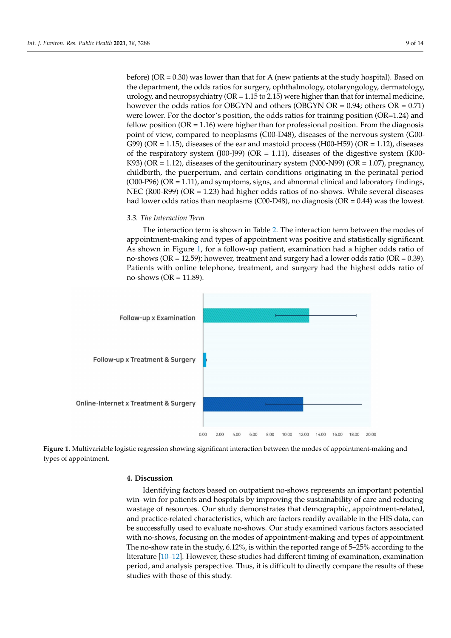before) (OR = 0.30) was lower than that for A (new patients at the study hospital). Based on the department, the odds ratios for surgery, ophthalmology, otolaryngology, dermatology, urology, and neuropsychiatry ( $OR = 1.15$  to 2.15) were higher than that for internal medicine, however the odds ratios for OBGYN and others (OBGYN OR =  $0.94$ ; others OR =  $0.71$ ) were lower. For the doctor's position, the odds ratios for training position (OR=1.24) and fellow position  $(OR = 1.16)$  were higher than for professional position. From the diagnosis point of view, compared to neoplasms (C00-D48), diseases of the nervous system (G00- G99) (OR = 1.15), diseases of the ear and mastoid process (H00-H59) (OR = 1.12), diseases of the respiratory system (J00-J99) ( $OR = 1.11$ ), diseases of the digestive system (K00-K93) (OR  $= 1.12$ ), diseases of the genitourinary system (N00-N99) (OR  $= 1.07$ ), pregnancy, childbirth, the puerperium, and certain conditions originating in the perinatal period  $(000-P96)$   $(OR = 1.11)$ , and symptoms, signs, and abnormal clinical and laboratory findings, NEC (R00-R99) ( $OR = 1.23$ ) had higher odds ratios of no-shows. While several diseases had lower odds ratios than neoplasms (C00-D48), no diagnosis (OR = 0.44) was the lowest.

#### *3.3. The Interaction Term*

The interaction term is shown in Table [2.](#page-7-0) The interaction term between the modes of appointment-making and types of appointment was positive and statistically significant. As shown in Figure [1,](#page-8-1) for a follow-up patient, examination had a higher odds ratio of no-shows (OR = 12.59); however, treatment and surgery had a lower odds ratio (OR =  $0.39$ ). Patients with online telephone, treatment, and surgery had the highest odds ratio of no-shows ( $OR = 11.89$ ).

<span id="page-8-1"></span>



## <span id="page-8-0"></span>**4. Discussion**

Identifying factors based on outpatient no-shows represents an important potential win–win for patients and hospitals by improving the sustainability of care and reducing wastage of resources. Our study demonstrates that demographic, appointment-related, and practice-related characteristics, which are factors readily available in the HIS data, can be successfully used to evaluate no-shows. Our study examined various factors associated with no-shows, focusing on the modes of appointment-making and types of appointment. The no-show rate in the study, 6.12%, is within the reported range of 5–25% according to the literature [\[10](#page-12-9)[–12\]](#page-12-10). However, these studies had different timing of examination, examination period, and analysis perspective. Thus, it is difficult to directly compare the results of these studies with those of this study.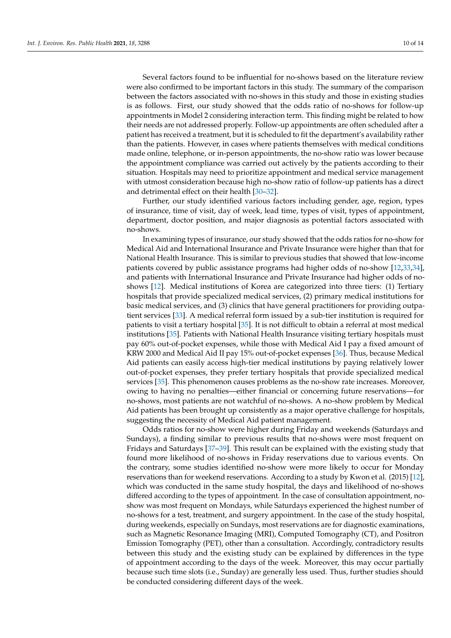Several factors found to be influential for no-shows based on the literature review were also confirmed to be important factors in this study. The summary of the comparison between the factors associated with no-shows in this study and those in existing studies is as follows. First, our study showed that the odds ratio of no-shows for follow-up appointments in Model 2 considering interaction term. This finding might be related to how their needs are not addressed properly. Follow-up appointments are often scheduled after a patient has received a treatment, but it is scheduled to fit the department's availability rather than the patients. However, in cases where patients themselves with medical conditions made online, telephone, or in-person appointments, the no-show ratio was lower because the appointment compliance was carried out actively by the patients according to their situation. Hospitals may need to prioritize appointment and medical service management with utmost consideration because high no-show ratio of follow-up patients has a direct and detrimental effect on their health [\[30–](#page-13-0)[32\]](#page-13-1).

Further, our study identified various factors including gender, age, region, types of insurance, time of visit, day of week, lead time, types of visit, types of appointment, department, doctor position, and major diagnosis as potential factors associated with no-shows.

In examining types of insurance, our study showed that the odds ratios for no-show for Medical Aid and International Insurance and Private Insurance were higher than that for National Health Insurance. This is similar to previous studies that showed that low-income patients covered by public assistance programs had higher odds of no-show [\[12,](#page-12-10)[33,](#page-13-2)[34\]](#page-13-3), and patients with International Insurance and Private Insurance had higher odds of noshows [\[12\]](#page-12-10). Medical institutions of Korea are categorized into three tiers: (1) Tertiary hospitals that provide specialized medical services, (2) primary medical institutions for basic medical services, and (3) clinics that have general practitioners for providing outpatient services [\[33\]](#page-13-2). A medical referral form issued by a sub-tier institution is required for patients to visit a tertiary hospital [\[35\]](#page-13-4). It is not difficult to obtain a referral at most medical institutions [\[35\]](#page-13-4). Patients with National Health Insurance visiting tertiary hospitals must pay 60% out-of-pocket expenses, while those with Medical Aid I pay a fixed amount of KRW 2000 and Medical Aid II pay 15% out-of-pocket expenses [\[36\]](#page-13-5). Thus, because Medical Aid patients can easily access high-tier medical institutions by paying relatively lower out-of-pocket expenses, they prefer tertiary hospitals that provide specialized medical services [\[35\]](#page-13-4). This phenomenon causes problems as the no-show rate increases. Moreover, owing to having no penalties—either financial or concerning future reservations—for no-shows, most patients are not watchful of no-shows. A no-show problem by Medical Aid patients has been brought up consistently as a major operative challenge for hospitals, suggesting the necessity of Medical Aid patient management.

Odds ratios for no-show were higher during Friday and weekends (Saturdays and Sundays), a finding similar to previous results that no-shows were most frequent on Fridays and Saturdays [\[37](#page-13-6)[–39\]](#page-13-7). This result can be explained with the existing study that found more likelihood of no-shows in Friday reservations due to various events. On the contrary, some studies identified no-show were more likely to occur for Monday reservations than for weekend reservations. According to a study by Kwon et al. (2015) [\[12\]](#page-12-10), which was conducted in the same study hospital, the days and likelihood of no-shows differed according to the types of appointment. In the case of consultation appointment, noshow was most frequent on Mondays, while Saturdays experienced the highest number of no-shows for a test, treatment, and surgery appointment. In the case of the study hospital, during weekends, especially on Sundays, most reservations are for diagnostic examinations, such as Magnetic Resonance Imaging (MRI), Computed Tomography (CT), and Positron Emission Tomography (PET), other than a consultation. Accordingly, contradictory results between this study and the existing study can be explained by differences in the type of appointment according to the days of the week. Moreover, this may occur partially because such time slots (i.e., Sunday) are generally less used. Thus, further studies should be conducted considering different days of the week.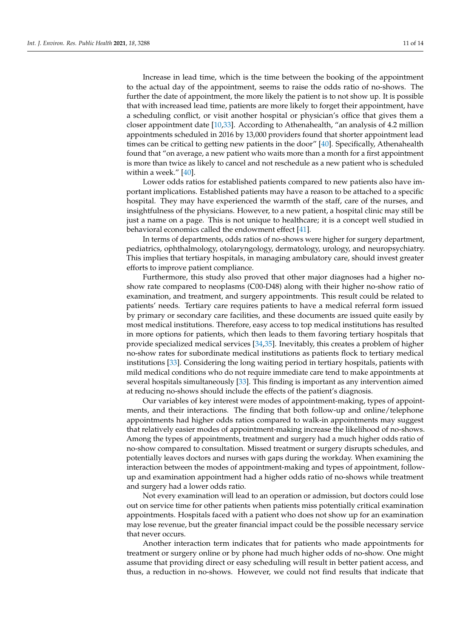Increase in lead time, which is the time between the booking of the appointment to the actual day of the appointment, seems to raise the odds ratio of no-shows. The further the date of appointment, the more likely the patient is to not show up. It is possible that with increased lead time, patients are more likely to forget their appointment, have a scheduling conflict, or visit another hospital or physician's office that gives them a closer appointment date [\[10](#page-12-9)[,33\]](#page-13-2). According to Athenahealth, "an analysis of 4.2 million appointments scheduled in 2016 by 13,000 providers found that shorter appointment lead times can be critical to getting new patients in the door" [\[40\]](#page-13-8). Specifically, Athenahealth found that "on average, a new patient who waits more than a month for a first appointment is more than twice as likely to cancel and not reschedule as a new patient who is scheduled within a week." [\[40\]](#page-13-8).

Lower odds ratios for established patients compared to new patients also have important implications. Established patients may have a reason to be attached to a specific hospital. They may have experienced the warmth of the staff, care of the nurses, and insightfulness of the physicians. However, to a new patient, a hospital clinic may still be just a name on a page. This is not unique to healthcare; it is a concept well studied in behavioral economics called the endowment effect [\[41\]](#page-13-9).

In terms of departments, odds ratios of no-shows were higher for surgery department, pediatrics, ophthalmology, otolaryngology, dermatology, urology, and neuropsychiatry. This implies that tertiary hospitals, in managing ambulatory care, should invest greater efforts to improve patient compliance.

Furthermore, this study also proved that other major diagnoses had a higher noshow rate compared to neoplasms (C00-D48) along with their higher no-show ratio of examination, and treatment, and surgery appointments. This result could be related to patients' needs. Tertiary care requires patients to have a medical referral form issued by primary or secondary care facilities, and these documents are issued quite easily by most medical institutions. Therefore, easy access to top medical institutions has resulted in more options for patients, which then leads to them favoring tertiary hospitals that provide specialized medical services [\[34](#page-13-3)[,35\]](#page-13-4). Inevitably, this creates a problem of higher no-show rates for subordinate medical institutions as patients flock to tertiary medical institutions [\[33\]](#page-13-2). Considering the long waiting period in tertiary hospitals, patients with mild medical conditions who do not require immediate care tend to make appointments at several hospitals simultaneously [\[33\]](#page-13-2). This finding is important as any intervention aimed at reducing no-shows should include the effects of the patient's diagnosis.

Our variables of key interest were modes of appointment-making, types of appointments, and their interactions. The finding that both follow-up and online/telephone appointments had higher odds ratios compared to walk-in appointments may suggest that relatively easier modes of appointment-making increase the likelihood of no-shows. Among the types of appointments, treatment and surgery had a much higher odds ratio of no-show compared to consultation. Missed treatment or surgery disrupts schedules, and potentially leaves doctors and nurses with gaps during the workday. When examining the interaction between the modes of appointment-making and types of appointment, followup and examination appointment had a higher odds ratio of no-shows while treatment and surgery had a lower odds ratio.

Not every examination will lead to an operation or admission, but doctors could lose out on service time for other patients when patients miss potentially critical examination appointments. Hospitals faced with a patient who does not show up for an examination may lose revenue, but the greater financial impact could be the possible necessary service that never occurs.

Another interaction term indicates that for patients who made appointments for treatment or surgery online or by phone had much higher odds of no-show. One might assume that providing direct or easy scheduling will result in better patient access, and thus, a reduction in no-shows. However, we could not find results that indicate that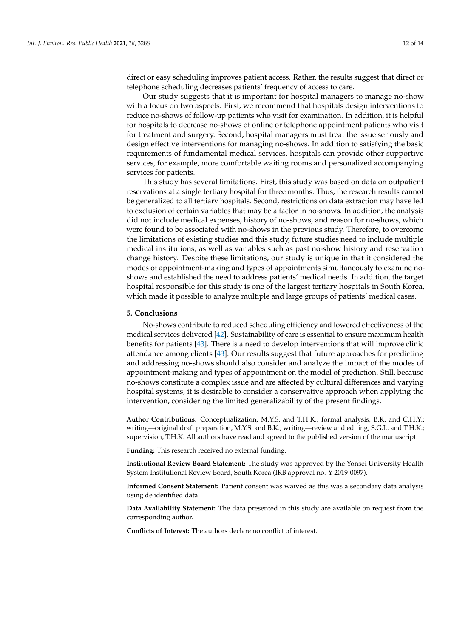direct or easy scheduling improves patient access. Rather, the results suggest that direct or telephone scheduling decreases patients' frequency of access to care.

Our study suggests that it is important for hospital managers to manage no-show with a focus on two aspects. First, we recommend that hospitals design interventions to reduce no-shows of follow-up patients who visit for examination. In addition, it is helpful for hospitals to decrease no-shows of online or telephone appointment patients who visit for treatment and surgery. Second, hospital managers must treat the issue seriously and design effective interventions for managing no-shows. In addition to satisfying the basic requirements of fundamental medical services, hospitals can provide other supportive services, for example, more comfortable waiting rooms and personalized accompanying services for patients.

This study has several limitations. First, this study was based on data on outpatient reservations at a single tertiary hospital for three months. Thus, the research results cannot be generalized to all tertiary hospitals. Second, restrictions on data extraction may have led to exclusion of certain variables that may be a factor in no-shows. In addition, the analysis did not include medical expenses, history of no-shows, and reason for no-shows, which were found to be associated with no-shows in the previous study. Therefore, to overcome the limitations of existing studies and this study, future studies need to include multiple medical institutions, as well as variables such as past no-show history and reservation change history. Despite these limitations, our study is unique in that it considered the modes of appointment-making and types of appointments simultaneously to examine noshows and established the need to address patients' medical needs. In addition, the target hospital responsible for this study is one of the largest tertiary hospitals in South Korea, which made it possible to analyze multiple and large groups of patients' medical cases.

## <span id="page-11-0"></span>**5. Conclusions**

No-shows contribute to reduced scheduling efficiency and lowered effectiveness of the medical services delivered [\[42\]](#page-13-10). Sustainability of care is essential to ensure maximum health benefits for patients [\[43\]](#page-13-11). There is a need to develop interventions that will improve clinic attendance among clients [\[43\]](#page-13-11). Our results suggest that future approaches for predicting and addressing no-shows should also consider and analyze the impact of the modes of appointment-making and types of appointment on the model of prediction. Still, because no-shows constitute a complex issue and are affected by cultural differences and varying hospital systems, it is desirable to consider a conservative approach when applying the intervention, considering the limited generalizability of the present findings.

**Author Contributions:** Conceptualization, M.Y.S. and T.H.K.; formal analysis, B.K. and C.H.Y.; writing—original draft preparation, M.Y.S. and B.K.; writing—review and editing, S.G.L. and T.H.K.; supervision, T.H.K. All authors have read and agreed to the published version of the manuscript.

**Funding:** This research received no external funding.

**Institutional Review Board Statement:** The study was approved by the Yonsei University Health System Institutional Review Board, South Korea (IRB approval no. Y-2019-0097).

**Informed Consent Statement:** Patient consent was waived as this was a secondary data analysis using de identified data.

**Data Availability Statement:** The data presented in this study are available on request from the corresponding author.

**Conflicts of Interest:** The authors declare no conflict of interest.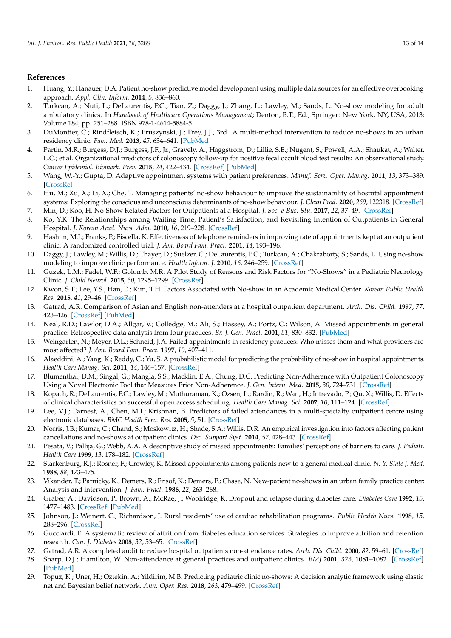## **References**

- <span id="page-12-0"></span>1. Huang, Y.; Hanauer, D.A. Patient no-show predictive model development using multiple data sources for an effective overbooking approach. *Appl. Clin. Inform.* **2014**, *5*, 836–860.
- <span id="page-12-1"></span>2. Turkcan, A.; Nuti, L.; DeLaurentis, P.C.; Tian, Z.; Daggy, J.; Zhang, L.; Lawley, M.; Sands, L. No-show modeling for adult ambulatory clinics. In *Handbook of Healthcare Operations Management*; Denton, B.T., Ed.; Springer: New York, NY, USA, 2013; Volume 184, pp. 251–288. ISBN 978-1-4614-5884-5.
- <span id="page-12-2"></span>3. DuMontier, C.; Rindfleisch, K.; Pruszynski, J.; Frey, J.J., 3rd. A multi-method intervention to reduce no-shows in an urban residency clinic. *Fam. Med.* **2013**, *45*, 634–641. [\[PubMed\]](http://www.ncbi.nlm.nih.gov/pubmed/24136694)
- <span id="page-12-3"></span>4. Partin, M.R.; Burgess, D.J.; Burgess, J.F., Jr.; Gravely, A.; Haggstrom, D.; Lillie, S.E.; Nugent, S.; Powell, A.A.; Shaukat, A.; Walter, L.C.; et al. Organizational predictors of colonoscopy follow-up for positive fecal occult blood test results: An observational study. *Cancer Epidemiol. Biomark. Prev.* **2015**, *24*, 422–434. [\[CrossRef\]](http://doi.org/10.1158/1055-9965.EPI-14-1170) [\[PubMed\]](http://www.ncbi.nlm.nih.gov/pubmed/25471345)
- <span id="page-12-4"></span>5. Wang, W.-Y.; Gupta, D. Adaptive appointment systems with patient preferences. *Manuf. Serv. Oper. Manag.* **2011**, *13*, 373–389. [\[CrossRef\]](http://doi.org/10.1287/msom.1110.0332)
- <span id="page-12-5"></span>6. Hu, M.; Xu, X.; Li, X.; Che, T. Managing patients' no-show behaviour to improve the sustainability of hospital appointment systems: Exploring the conscious and unconscious determinants of no-show behaviour. *J. Clean Prod.* **2020**, *269*, 122318. [\[CrossRef\]](http://doi.org/10.1016/j.jclepro.2020.122318)
- <span id="page-12-6"></span>7. Min, D.; Koo, H. No-Show Related Factors for Outpatients at a Hospital. *J. Soc. e-Bus. Stu.* **2017**, *22*, 37–49. [\[CrossRef\]](http://doi.org/10.7838/jsebs.2017.22.1.037)
- <span id="page-12-7"></span>8. Ko, Y.K. The Relationships among Waiting Time, Patient's Satisfaction, and Revisiting Intention of Outpatients in General Hospital. *J. Korean Acad. Nurs. Adm.* **2010**, *16*, 219–228. [\[CrossRef\]](http://doi.org/10.11111/jkana.2010.16.3.219)
- <span id="page-12-8"></span>9. Hashim, M.J.; Franks, P.; Fiscella, K. Effectiveness of telephone reminders in improving rate of appointments kept at an outpatient clinic: A randomized controlled trial. *J. Am. Board Fam. Pract.* **2001**, *14*, 193–196.
- <span id="page-12-9"></span>10. Daggy, J.; Lawley, M.; Willis, D.; Thayer, D.; Suelzer, C.; DeLaurentis, P.C.; Turkcan, A.; Chakraborty, S.; Sands, L. Using no-show modeling to improve clinic performance. *Health Inform. J.* **2010**, *16*, 246–259. [\[CrossRef\]](http://doi.org/10.1177/1460458210380521)
- 11. Guzek, L.M.; Fadel, W.F.; Golomb, M.R. A Pilot Study of Reasons and Risk Factors for "No-Shows" in a Pediatric Neurology Clinic. *J. Child Neurol.* **2015**, *30*, 1295–1299. [\[CrossRef\]](http://doi.org/10.1177/0883073814559098)
- <span id="page-12-10"></span>12. Kwon, S.T.; Lee, Y.S.; Han, E.; Kim, T.H. Factors Associated with No-show in an Academic Medical Center. *Korean Public Health Res.* **2015**, *41*, 29–46. [\[CrossRef\]](http://doi.org/10.22900/kphr.2015.41.2.003)
- 13. Gatrad, A.R. Comparison of Asian and English non-attenders at a hospital outpatient department. *Arch. Dis. Child.* **1997**, *77*, 423–426. [\[CrossRef\]](http://doi.org/10.1136/adc.77.5.423) [\[PubMed\]](http://www.ncbi.nlm.nih.gov/pubmed/9487966)
- 14. Neal, R.D.; Lawlor, D.A.; Allgar, V.; Colledge, M.; Ali, S.; Hassey, A.; Portz, C.; Wilson, A. Missed appointments in general practice: Retrospective data analysis from four practices. *Br. J. Gen. Pract.* **2001**, *51*, 830–832. [\[PubMed\]](http://www.ncbi.nlm.nih.gov/pubmed/11677708)
- <span id="page-12-11"></span>15. Weingarten, N.; Meyer, D.L.; Schneid, J.A. Failed appointments in residency practices: Who misses them and what providers are most affected? *J. Am. Board Fam. Pract.* **1997**, *10*, 407–411.
- <span id="page-12-12"></span>16. Alaeddini, A.; Yang, K.; Reddy, C.; Yu, S. A probabilistic model for predicting the probability of no-show in hospital appointments. *Health Care Manag. Sci.* **2011**, *14*, 146–157. [\[CrossRef\]](http://doi.org/10.1007/s10729-011-9148-9)
- 17. Blumenthal, D.M.; Singal, G.; Mangla, S.S.; Macklin, E.A.; Chung, D.C. Predicting Non-Adherence with Outpatient Colonoscopy Using a Novel Electronic Tool that Measures Prior Non-Adherence. *J. Gen. Intern. Med.* **2015**, *30*, 724–731. [\[CrossRef\]](http://doi.org/10.1007/s11606-014-3165-6)
- 18. Kopach, R.; DeLaurentis, P.C.; Lawley, M.; Muthuraman, K.; Ozsen, L.; Rardin, R.; Wan, H.; Intrevado, P.; Qu, X.; Willis, D. Effects of clinical characteristics on successful open access scheduling. *Health Care Manag. Sci.* **2007**, *10*, 111–124. [\[CrossRef\]](http://doi.org/10.1007/s10729-007-9008-9)
- 19. Lee, V.J.; Earnest, A.; Chen, M.I.; Krishnan, B. Predictors of failed attendances in a multi-specialty outpatient centre using electronic databases. *BMC Health Serv. Res.* **2005**, *5*, 51. [\[CrossRef\]](http://doi.org/10.1186/1472-6963-5-51)
- 20. Norris, J.B.; Kumar, C.; Chand, S.; Moskowitz, H.; Shade, S.A.; Willis, D.R. An empirical investigation into factors affecting patient cancellations and no-shows at outpatient clinics. *Dec. Support Syst.* **2014**, *57*, 428–443. [\[CrossRef\]](http://doi.org/10.1016/j.dss.2012.10.048)
- 21. Pesata, V.; Pallija, G.; Webb, A.A. A descriptive study of missed appointments: Families' perceptions of barriers to care. *J. Pediatr. Health Care* **1999**, *13*, 178–182. [\[CrossRef\]](http://doi.org/10.1016/S0891-5245(99)90037-8)
- 22. Starkenburg, R.J.; Rosner, F.; Crowley, K. Missed appointments among patients new to a general medical clinic. *N. Y. State J. Med.* **1988**, *88*, 473–475.
- <span id="page-12-13"></span>23. Vikander, T.; Parnicky, K.; Demers, R.; Frisof, K.; Demers, P.; Chase, N. New-patient no-shows in an urban family practice center: Analysis and intervention. *J. Fam. Pract.* **1986**, *22*, 263–268.
- <span id="page-12-14"></span>24. Graber, A.; Davidson, P.; Brown, A.; McRae, J.; Woolridge, K. Dropout and relapse during diabetes care. *Diabetes Care* **1992**, *15*, 1477–1483. [\[CrossRef\]](http://doi.org/10.2337/diacare.15.11.1477) [\[PubMed\]](http://www.ncbi.nlm.nih.gov/pubmed/1468274)
- 25. Johnson, J.; Weinert, C.; Richardson, J. Rural residents' use of cardiac rehabilitation programs. *Public Health Nurs.* **1998**, *15*, 288–296. [\[CrossRef\]](http://doi.org/10.1111/j.1525-1446.1998.tb00352.x)
- 26. Gucciardi, E. A systematic review of attrition from diabetes education services: Strategies to improve attrition and retention research. *Can. J. Diabetes* **2008**, *32*, 53–65. [\[CrossRef\]](http://doi.org/10.1016/S1499-2671(08)21011-7)
- 27. Gatrad, A.R. A completed audit to reduce hospital outpatients non-attendance rates. *Arch. Dis. Child.* **2000**, *82*, 59–61. [\[CrossRef\]](http://doi.org/10.1136/adc.82.1.59)
- <span id="page-12-15"></span>28. Sharp, D.J.; Hamilton, W. Non-attendance at general practices and outpatient clinics. *BMJ* **2001**, *323*, 1081–1082. [\[CrossRef\]](http://doi.org/10.1136/bmj.323.7321.1081) [\[PubMed\]](http://www.ncbi.nlm.nih.gov/pubmed/11701560)
- <span id="page-12-16"></span>29. Topuz, K.; Uner, H.; Oztekin, A.; Yildirim, M.B. Predicting pediatric clinic no-shows: A decision analytic framework using elastic net and Bayesian belief network. *Ann. Oper. Res.* **2018**, *263*, 479–499. [\[CrossRef\]](http://doi.org/10.1007/s10479-017-2489-0)